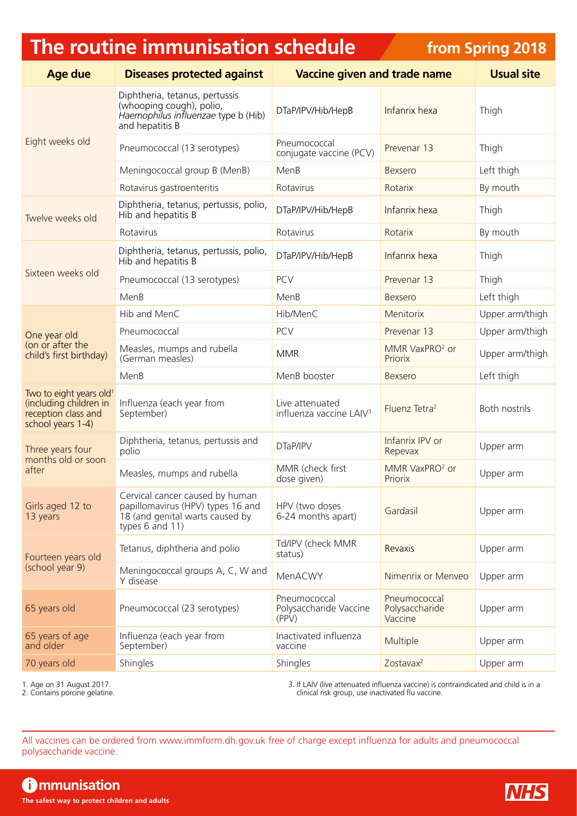## **The routine immunisation schedule**

**from Spring 2018**

| <b>Age due</b>                                                                                            | <b>Diseases protected against</b>                                                                                          | <b>Vaccine given and trade name</b>                    |                                           | <b>Usual site</b> |
|-----------------------------------------------------------------------------------------------------------|----------------------------------------------------------------------------------------------------------------------------|--------------------------------------------------------|-------------------------------------------|-------------------|
| Eight weeks old                                                                                           | Diphtheria, tetanus, pertussis<br>(whooping cough), polio,<br>Haemophilus influenzae type b (Hib)<br>and hepatitis B       | DTaP/IPV/Hib/HepB                                      | Infanrix hexa                             | Thigh             |
|                                                                                                           | Pneumococcal (13 serotypes)                                                                                                | Pneumococcal<br>conjugate vaccine (PCV)                | Prevenar 13                               | Thigh             |
|                                                                                                           | Meningococcal group B (MenB)                                                                                               | MenB                                                   | Bexsero                                   | Left thigh        |
|                                                                                                           | Rotavirus gastroenteritis                                                                                                  | Rotavirus                                              | Rotarix                                   | By mouth          |
| Twelve weeks old                                                                                          | Diphtheria, tetanus, pertussis, polio,<br>Hib and hepatitis B                                                              | DTaP/IPV/Hib/HepB                                      | Infanrix hexa                             | Thigh             |
|                                                                                                           | Rotavirus                                                                                                                  | Rotavirus                                              | Rotarix                                   | By mouth          |
| Sixteen weeks old                                                                                         | Diphtheria, tetanus, pertussis, polio,<br>Hib and hepatitis B                                                              | DTaP/IPV/Hib/HepB                                      | Infanrix hexa                             | Thigh             |
|                                                                                                           | Pneumococcal (13 serotypes)                                                                                                | <b>PCV</b>                                             | Prevenar 13                               | Thigh             |
|                                                                                                           | MenB                                                                                                                       | MenB                                                   | Bexsero                                   | Left thigh        |
|                                                                                                           | Hib and MenC                                                                                                               | Hib/MenC                                               | Menitorix                                 | Upper arm/thigh   |
| One year old                                                                                              | Pneumococcal                                                                                                               | PCV                                                    | Prevenar 13                               | Upper arm/thigh   |
| (on or after the<br>child's first birthday)                                                               | Measles, mumps and rubella<br>(German measles)                                                                             | <b>MMR</b>                                             | MMR VaxPRO <sup>2</sup> or<br>Priorix     | Upper arm/thigh   |
|                                                                                                           | MenB                                                                                                                       | MenB booster                                           | Bexsero                                   | Left thigh        |
| Two to eight years old <sup>1</sup><br>(including children in<br>reception class and<br>school years 1-4) | Influenza (each year from<br>September)                                                                                    | Live attenuated<br>influenza vaccine LAIV <sup>3</sup> | Fluenz Tetra <sup>2</sup>                 | Both nostrils     |
| Three years four<br>months old or soon<br>after                                                           | Diphtheria, tetanus, pertussis and<br>polio                                                                                | DTaP/IPV                                               | Infanrix IPV or<br>Repevax                | Upper arm         |
|                                                                                                           | Measles, mumps and rubella                                                                                                 | MMR (check first<br>dose given)                        | MMR VaxPRO <sup>2</sup> or<br>Priorix     | Upper arm         |
| Girls aged 12 to<br>13 years                                                                              | Cervical cancer caused by human<br>papillomavirus (HPV) types 16 and<br>18 (and genital warts caused by<br>types 6 and 11) | HPV (two doses<br>6-24 months apart)                   | Gardasil                                  | Upper arm         |
| Fourteen years old<br>(school year 9)                                                                     | Tetanus, diphtheria and polio                                                                                              | Td/IPV (check MMR<br>status)                           | Revaxis                                   | Upper arm         |
|                                                                                                           | Meningococcal groups A, C, W and<br>Y disease                                                                              | MenACWY                                                | Nimenrix or Menveo                        | Upper arm         |
| 65 years old                                                                                              | Pneumococcal (23 serotypes)                                                                                                | Pneumococcal<br>Polysaccharide Vaccine<br>(PPV)        | Pneumococcal<br>Polysaccharide<br>Vaccine | Upper arm         |
| 65 years of age<br>and older                                                                              | Influenza (each year from<br>September)                                                                                    | Inactivated influenza<br>vaccine                       | Multiple                                  | Upper arm         |
| 70 years old                                                                                              | Shingles                                                                                                                   | Shingles                                               | Zostavax <sup>2</sup>                     | Upper arm         |

1. Age on 31 August 2017.

2. Contains porcine gelatine.

3. If LAIV (live attenuated influenza vaccine) is contraindicated and child is in a clinical risk group, use inactivated flu vaccine.

All vaccines can be ordered from [www.immform.dh.gov.uk](http://www.immform.dh.gov.uk) free of charge except influenza for adults and pneumococcal polysaccharide vaccine.

**Communisation The safest way to protect children and adults**